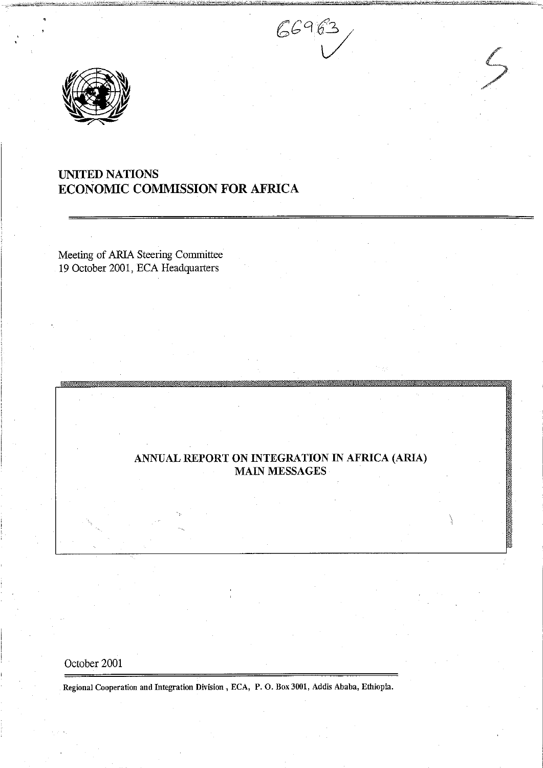



# UNITED NATIONS ECONOMIC COMMISSION FOR AFRICA

Meeting of ARIA Steering Committee 19 October 2001, ECA Headquarters

# ANNUAL REPORT ON INTEGRATION IN AFRICA (ARIA) MAIN MESSAGES

# October 2001

Regional Cooperation and Integration Division, ECA, P.O. Box 3001, Addis Ababa, Ethiopia.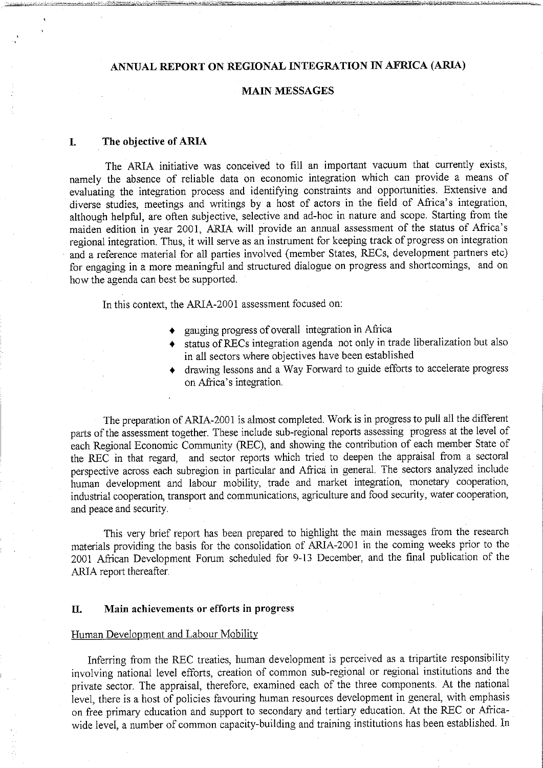# ANNUAL REPORT ON REGIONAL INTEGRATION IN AFRICA (ARIA)

## MAIN MESSAGES

#### I. The objective of ARIA

The ARIA initiative was conceived to fill an important vacuum that currently exists, namely the absence of reliable data on economic integration which can provide a means of evaluating the integration process and identifying constraints and opportunities. Extensive and diverse studies, meetings and writings by a host of actors in the field of Africa's integration, although helpful, are often subjective, selective and ad-hoc in nature and scope. Starting from the maiden edition in year 2001, ARIA will provide an annual assessment of the status of Africa's regional integration. Thus, it will serve as an instrument for keeping track of progress on integration and a reference material for all parties involved (member States, RECs, development partners etc) for engaging in a more meaningful and structured dialogue on progress and shortcomings, and on how the agenda can best be supported.

In this context, the ARIA-2001 assessment focused on:

- gauging progress of overall integration in Africa
- status of RECs integration agenda not only in trade liberalization but also in all sectors where objectives have been established
- drawing lessons and Way Forward to guide efforts to accelerate progress on Africa's integration.

The preparation of ARIA-2001 is almost completed. Work is in progress to pull all the different parts of the assessment together. These include sub-regional reports assessing progress at the level of each Regional Economic Community (REC), and showing the contribution of each member State of the REC in that regard, and sector reports which tried to deepen the appraisal from a sectoral perspective across each subregion in particular and Africa in general. The sectors analyzed include human development and labour mobility, trade and market integration, monetary cooperation, industrial cooperation, transport and communications, agriculture and food security, water cooperation, and peace and security.

This very brief report has been prepared to highlight the main messages from the research materials providing the basis for the consolidation of ARIA-2001 in the coming weeks prior to the 2001 African Development Forum scheduled for 9-13 December, and the final publication of the ARIA report thereafter.

#### II. Main achievements or efforts in progress

#### Human Development and Labour Mobility

Inferring from the REC treaties, human development is perceived as a tripartite responsibility involving national level efforts, creation of common sub-regional or regional institutions and the private sector. The appraisal, therefore, examined each of the three components. At the national level, there is a host of policies favouring human resources development in general, with emphasis on free primary education and support to secondary and tertiary education. At the REC or Africawide level, a number of common capacity-building and training institutions has been established. In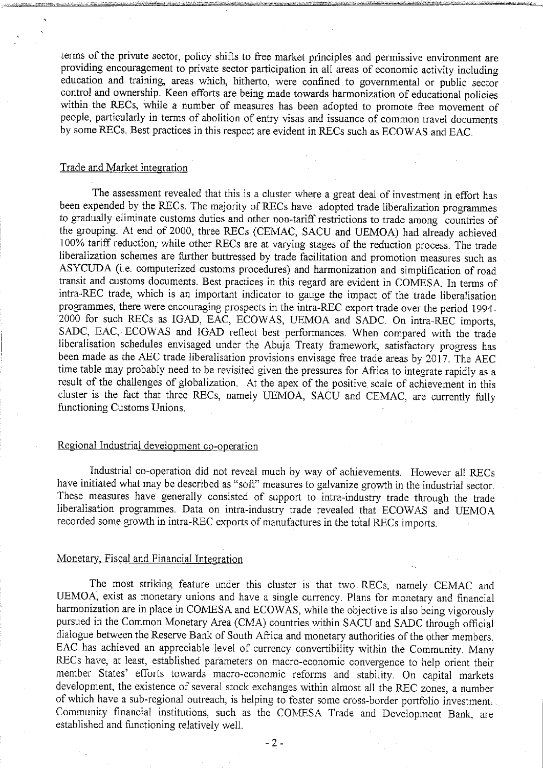terms of the private sector, policy shifts to free market principles and permissive environment are providing encouragement to private sector participation in all areas of economic activity including education and training, areas which, hitherto, were confined to governmental or public sector control and ownership. Keen efforts are being made towards harmonization of educational policies within the RECs, while a number of measures has been adopted to promote free movement of people, particularly in terms of abolition of entry visas and issuance of common travel documents by some RECs. Best practices in this respect are evident in RECs such as ECOWAS and EAC.

#### Trade and Market integration

The assessment revealed that this is a cluster where a great deal of investment in effort has been expended by the RECs. The majority of RECs have adopted trade liberalization programmes to gradually eliminate customs duties and other non-tariff restrictions to trade among countries of the grouping. At end of 2000, three RECs (CEMAC, SACU and UEMOA) had already achieved 100% tariff reduction, while other RECs are at varying stages of the reduction process. The trade liberalization schemes are further buttressed by trade facilitation and promotion measures such as ASYCUDA (i.e. computerized customs procedures) and harmonization and simplification of road transit and customs documents. Best practices in this regard are evident in COMESA. In terms of intra-REC trade, which is an important indicator to gauge the impact of the trade liberalisation programmes, there were encouraging prospects in the intra-REC export trade over the period 1994- <sup>2000</sup> for such RECs as IGAD, EAC, ECOWAS, UEMOA and SADC. On intra-REC imports, SADC, EAC, ECOWAS and IGAD reflect best performances. When compared with the trade liberalisation schedules envisaged under the Abuja Treaty framework, satisfactory progress has been made as the AEC trade liberalisation provisions envisage free trade areas by 2017. The AEC time table may probably need to be revisited given the pressures for Africa to integrate rapidly as a result of the challenges of globalization. At the apex of the positive scale of achievement in this cluster is the fact that three RECs, namely UEMOA, SACU and CEMAC, are currently fully functioning Customs Unions.

# Regional Industrial development co-operation

Industrial co-operation did not reveal much by way of achievements. However all RECs have initiated what may be described as "soft" measures to galvanize growth in the industrial sector. These measures have generally consisted of support to intra-industry trade through the trade liberalisation programmes. Data on intra-industry trade revealed that ECOWAS and UEMOA recorded some growth in intra-REC exports of manufactures in the total RECs imports.

#### Monetary, Fiscal and Financial Integration

The most striking feature under this cluster is that two RECs, namely CEMAC and UEMOA, exist as monetary unions and have a single currency. Plans for monetary and financial harmonization are in place in COMESA and ECOWAS, while the objective is also being vigorously pursued in the Common Monetary Area (CMA) countries within SACU and SADC through official dialogue between the Reserve Bank of South Africa and monetary authorities of the other members. EAC has achieved an appreciable level of currency convertibility within the Community. Many RECs have, at least, established parameters on macro-economic convergence to help orient their member States' efforts towards macro-economic reforms and stability. On capital markets development, the existence of several stock exchanges within almost all the REC zones, a number of which have a sub-regional outreach, is helping to foster some cross-border portfolio investment... Community financial institutions, such as the COMESA Trade and Development Bank, are established and functioning relatively well.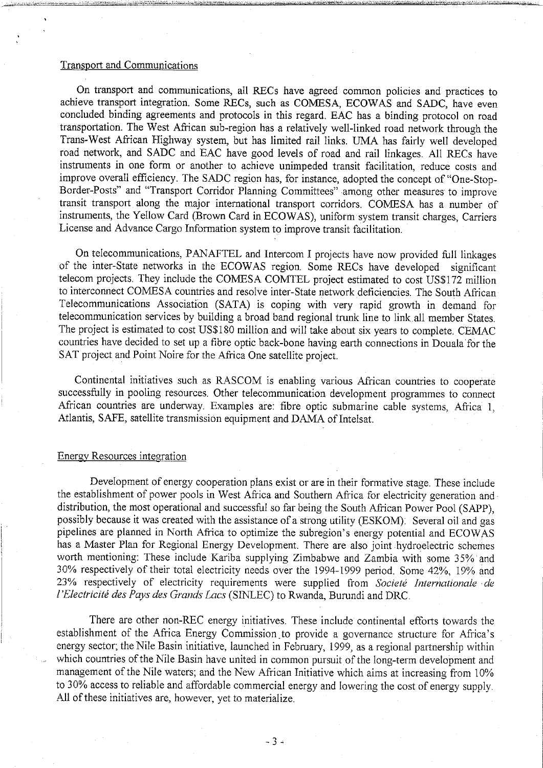#### Transport and Communications

On transport and communications, all RECs have agreed common policies and practices to achieve transport integration. Some RECs, such as COMESA, ECOWAS and SADC, have even concluded binding agreements and protocols in this regard. EAC has a binding protocol on road transportation. The West African sub-region has a relatively well-linked road network through the Trans-West African Highway system, but has limited rail links. UMA has fairly well developed road network, and SADC and EAC have good levels of road and rail linkages. All RECs have instruments in one form or another to achieve unimpeded transit facilitation, reduce costs and improve overall efficiency. The SADC region has, for instance, adopted the concept of "One-Stop-Border-Posts" and "Transport Corridor Planning Committees" among other measures to improve transit transport along the major international transport corridors. COMESA has a number of instruments, the Yellow Card (Brown Card in ECOWAS), uniform system transit charges, Carriers License and Advance Cargo Information system to improve transit facilitation.

On telecommunications, PANAFTEL and Intercom I projects have now provided full linkages of the inter-State networks in the ECOWAS region. Some RECs have developed significant telecom projects. They include the COMESA COMTEL project estimated to cost US\$172 million to interconnect COMESA countries and resolve inter-State network deficiencies. The South African Telecommunications Association (SATA) is coping with very rapid growth in demand for telecommunication services by building a broad band regional trunk line to link all member States. The project is estimated to cost US\$180 million and will take about six years to complete. CEMAC countries have decided to set up a fibre optic back-bone having earth connections in Douala for the SAT project and Point Noire for the Africa One satellite project.

Continental initiatives such as RASCOM is enabling various African countries to cooperate successfully in pooling resources. Other telecommunication development programmes to connect African countries are underway. Examples are: fibre optic submarine cable systems, Africa 1, Atlantis, SAFE, satellite transmission equipment and DAMA of Intelsat.

#### Energy Resources integration

Development of energy cooperation plans exist or are in their formative stage. These include the establishment of power pools in West Africa and Southern Africa for electricity generation and distribution, the most operational and successful so far being the South African Power Pool (SAPP), possibly because it was created with the assistance of a strong utility (ESKOM). Several oil and gas pipelines are planned in North Africa to optimize the subregion's energy potential and ECOWAS has a Master Plan for Regional Energy Development. There are also joint hydroelectric schemes worth mentioning: These include Kariba supplying Zimbabwe and Zambia with some 35% and 30% respectively of their total electricity needs over the 1994-1999 period. Some 42%, 19% and 23% respectively of electricity requirements were supplied from Societé Internationale de l'Electricité des Pays des Grands Lacs (SINLEC) to Rwanda, Burundi and DRC.

There are other non-REC energy initiatives. These include continental efforts towards the establishment of the Africa Energy Commission to provide a governance structure for Africa's energy sector; the Nile Basin initiative, launched in February, 1999, as a regional partnership within which countries of the Nile Basin have united in common pursuit of the long-term development and management of the Nile waters; and the New African Initiative which aims at increasing from 10% to 30% access to reliable and affordable commercial energy and lowering the cost of energy supply. All of these initiatives are, however, yet to materialize.

 $-3-$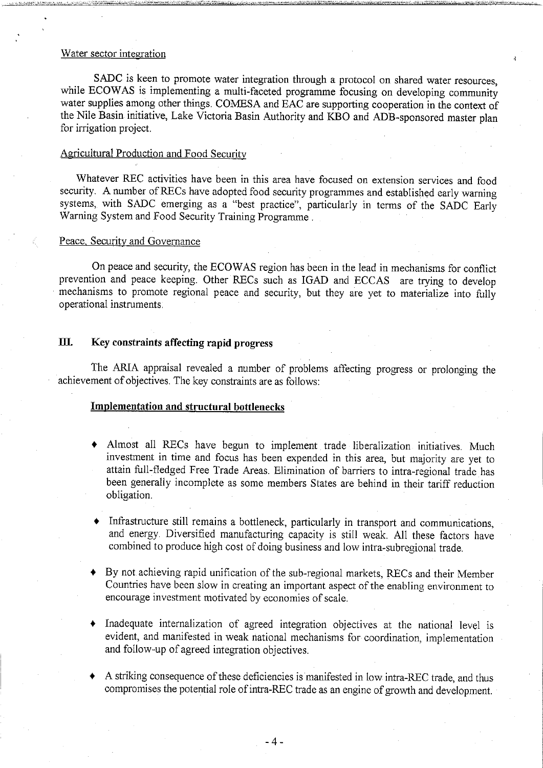#### Water sector integration

SADC is keen to promote water integration through a protocol on shared water resources, while ECOWAS is implementing a multi-faceted programme focusing on developing community water supplies among other things. COMESA and EAC are supporting cooperation in the context of the Nile Basin initiative, Lake Victoria Basin Authority and KBO and ADB-sponsored master plan for irrigation project.

#### Agricultural Production and Food Security

Whatever REC activities have been in this area have focused on extension services and food security. A number of RECs have adopted food security programmes and established early warning systems, with SADC emerging as a "best practice", particularly in terms of the SADC Early Warning System and Food Security Training Programme

#### Peace. Security and Governance

On peace and security, the ECOWAS region has been in the lead in mechanisms for conflict prevention and peace keeping. Other RECs such as IGAD and ECCAS are trying to develop mechanisms to promote regional peace and security, but they are yet to materialize into fully operational instruments.

# UI. Key constraints affecting rapid progress

The ARIA appraisal revealed a number of problems affecting progress or prolonging the achievement of objectives. The key constraints are as follows:

# Implementation and structural bottlenecks

- Almost all RECs have begun to implement trade liberalization initiatives. Much investment in time and focus has been expended in this area, but majority are yet to attain full-fledged Free Trade Areas. Elimination of barriers to intra-regional trade has been generally incomplete as some members States are behind in their tariff reduction obligation.
- Infrastructure still remains a bottleneck, particularly in transport and communications, and energy. Diversified manufacturing capacity is still weak. All these factors have combined to produce high cost of doing business and low intra-subregional trade.
- By not achieving rapid unification of the sub-regional markets, RECs and their Member Countries have been slow in creating an important aspect of the enabling environment to encourage investment motivated by economies of scale.
- Inadequate internalization of agreed integration objectives at the national level is evident, and manifested in weak national mechanisms for coordination, implementation and follow-up of agreed integration objectives.
- A striking consequence of these deficiencies is manifested in low intra-REC trade, and thus compromises the potential role of intra-REC trade as an engine of growth and development.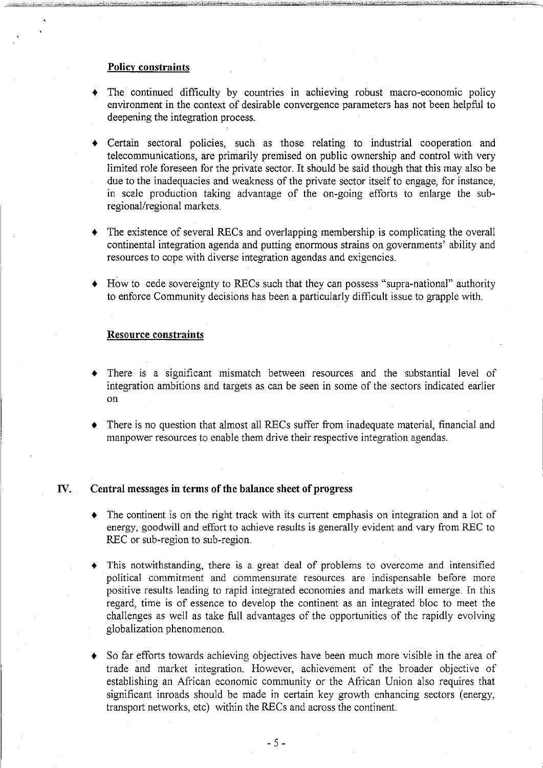#### Policy constraints

- The continued difficulty by countries in achieving robust macro-economic policy environment in the context of desirable convergence parameters has not been helpful to deepening the integration process.
- Certain sectoral policies, such as those relating to industrial cooperation and telecommunications, are primarily premised on public ownership and control with very limited role foreseen for the private sector. It should be said though that this may also be due to the inadequacies and weakness of the private sector itself to engage, for instance, in scale production taking advantage of the on-going efforts to enlarge the subregional/regional markets.
- The existence of several RECs and overlapping membership is complicating the overall continental integration agenda and putting enormous strains on governments' ability and resources to cope with diverse integration agendas and exigencies.
- How to cede sovereignty to RECs such that they can possess "supra-national" authority to enforce Community decisions has been a particularly difficult issue to grapple with.

### Resource constraints

- There is a significant mismatch between resources and the substantial level of integration ambitions and targets as can be seen in some of the sectors indicated earlier on
- There is no question that almost all RECs suffer from inadequate material, financial and manpower resources to enable them drive their respective integration agendas.

#### IV. Central messages in terms of the balance sheet of progress

- The continent is on the right track with its current emphasis on integration and a lot of energy, goodwill and effort to achieve results is generally evident and vary from REC to REC or sub-region to sub-region.
- This notwithstanding, there is a great deal of problems to overcome and intensified political commitment and commensurate resources are indispensable before more positive results leading to rapid integrated economies and markets will emerge. In this regard, time is of essence to develop the continent as an integrated bloc to meet the challenges as well as take full advantages of the opportunities of the rapidly evolving globalization phenomenon.
- So far efforts towards achieving objectives have been much more visible in the area of trade and market integration. However, achievement of the broader objective of establishing an African economic community or the African Union also requires that significant inroads should be made in certain key growth enhancing sectors (energy, transport networks, etc) within the RECs and across the continent.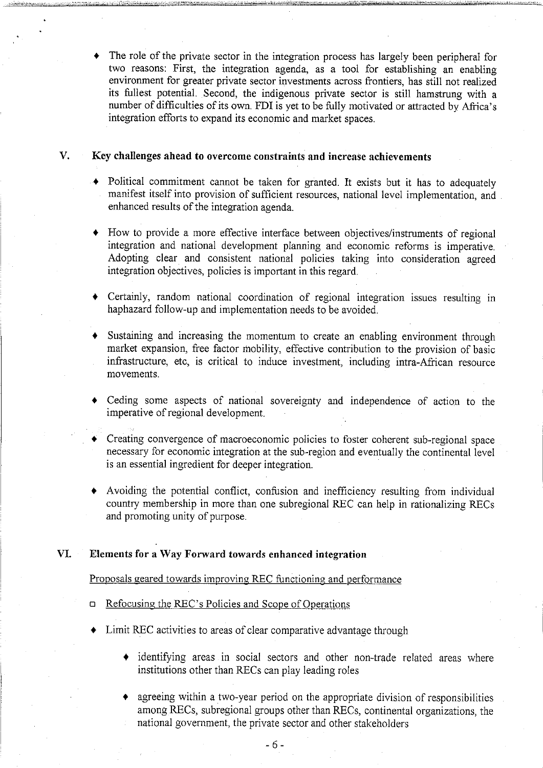The role of the private sector in the integration process has largely been peripheral for two reasons: First, the integration agenda, as tool for establishing an enabling environment for greater private sector investments across frontiers, has still not realized its fullest potential. Second, the indigenous private sector is still hamstrung with number of difficulties of its own. FDI is yet to be fully motivated or attracted by Africa's integration efforts to expand its economic and market spaces.

## V. Key challenges ahead to overcome constraints and increase achievements

- Political commitment cannot be taken for granted. It exists but it has to adequately manifest itself into provision of sufficient resources, national level implementation, and enhanced results of the integration agenda.
- How to provide more effective interface between objectives/instruments of regional integration and national development planning and economic reforms is imperative. Adopting clear and consistent national policies taking into consideration agreed integration objectives, policies is important in this regard.
- Certainly, random national coordination of regional integration issues resulting in haphazard follow-up and implementation needs to be avoided.
- Sustaining and increasing the momentum to create an enabling environment through market expansion, free factor mobility, effective contribution to the provision of basic infrastructure, etc, is critical to induce investment, including intra-African resource movements.
- Ceding some aspects of national sovereignty and independence of action to the imperative of regional development.
- Creating convergence of macroeconomic policies to foster coherent sub-regional space necessary for economic integration at the sub-region and eventually the continental level is an essential ingredient for deeper integration.
- Avoiding the potential conflict, confusion and inefficiency resulting from individual country membership in more than one subregional REC can help in rationalizing RECs and promoting unity of purpose.

## VI. Elements for a Way Forward towards enhanced integration

#### Proposals geared towards improving REC functioning and performance

- Refocusing the REC's Policies and Scope of Operations  $\Box$
- Limit REC activities to areas of clear comparative advantage through
	- identifying areas in social sectors and other non-trade related areas where institutions other than RECs can play leading roles
	- agreeing within a two-year period on the appropriate division of responsibilities among RECs, subregional groups other than RECs, continental organizations, the national government, the private sector and other stakeholders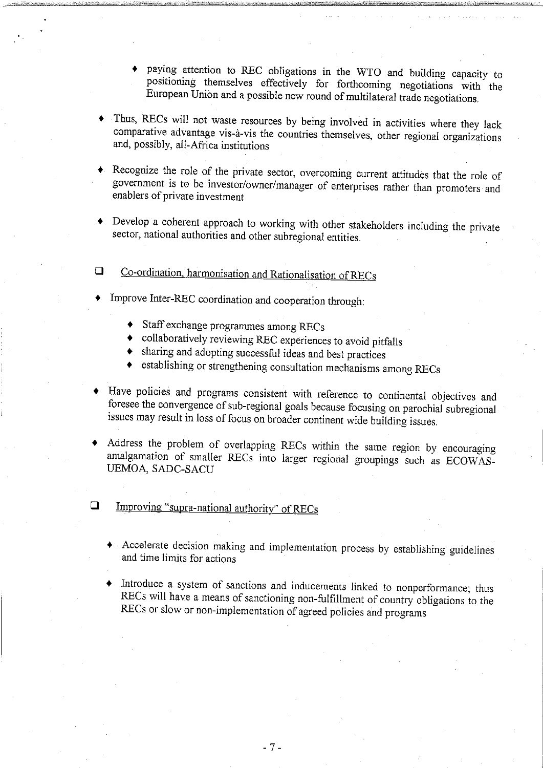- paying attention to REC obligations in the WTO and building capacity to positioning themselves effectively for forthcoming negotiations with the European Union and possible new round of multilateral trade negotiations.
- Thus, RECs will not waste resources by being involved in activities where they lack comparative advantage vis-a-vis the countries themselves, other regional organizations and, possibly, all-Africa institutions
- Recognize the role of the private sector, overcoming current attitudes that the role of government is to be investor/owner/manager of enterprises rather than promoters and enablers of private investment
- Develop a coherent approach to working with other stakeholders including the private sector, national authorities and other subregional entities.
- Co-ordination, harmonisation and Rationalisation of RECs  $\Box$
- Improve Inter-REC coordination and cooperation through:
	- Staff exchange programmes among RECs
	- collaboratively reviewing REC experiences to avoid pitfalls
	- sharing and adopting successful ideas and best practices
	- establishing or strengthening consultation mechanisms among RECs
- Have policies and programs consistent with reference to continental objectives and foresee the convergence of sub-regional goals because focusing on parochial subregional issues may result in loss of focus on broader continent wide building issues.
- Address the problem of overlapping RECs within the same region by encouraging amalgamation of smaller RECs into larger regional groupings such as ECOWAS-UEMOA, SADC-SACU
- $\Box$ Improving "supra-national authority" of RECs
	- Accelerate decision making and implementation process by establishing guidelines and time limits for actions
	- Introduce a system of sanctions and inducements linked to nonperformance; thus RECs will have a means of sanctioning non-fulfillment of country obligations to the RECs or slow or non-implementation of agreed policies and programs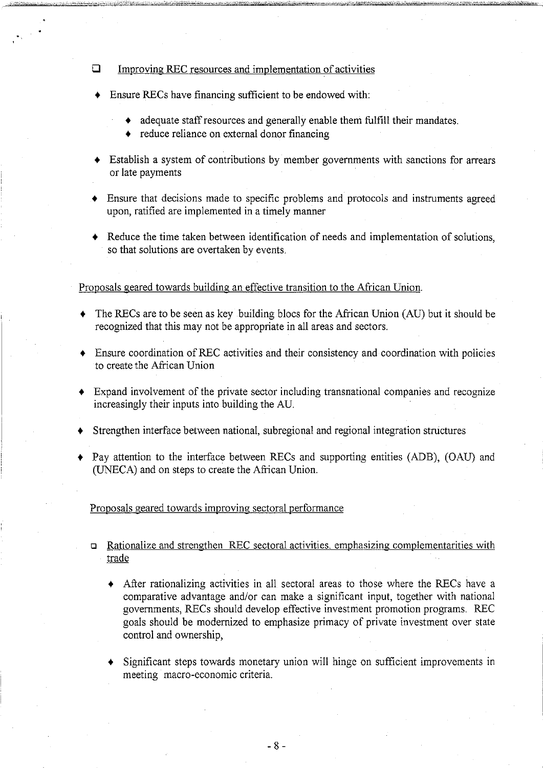#### $\Box$ Improving REC resources and implementation of activities

- Ensure RECs have financing sufficient to be endowed with:
	- adequate staff resources and generally enable them fulfill their mandates.
	- ◆ reduce reliance on external donor financing
- $\triangleleft$  Establish a system of contributions by member governments with sanctions for arrears or late payments
- Ensure that decisions made to specific problems and protocols and instruments agreed upon, ratified are implemented in a timely manner
- Reduce the time taken between identification of needs and implementation of solutions, so that solutions are overtaken by events.

#### Proposals geared towards building an effective transition to the African Union.

- The RECs are to be seen as key building blocs for the African Union (AU) but it should be recognized that this may not be appropriate in all areas and sectors.
- Ensure coordination of REC activities and their consistency and coordination with policies to create the African Union
- Expand involvement of the private sector including transnational companies and recognize increasingly their inputs into building the AU.
- Strengthen interface between national, subregional and regional integration structures
- Pay attention to the interface between RECs and supporting entities (ADB), (OAU) and (UNECA) and on steps to create the African Union.

Proposals geared towards improving sectoral performance

- Rationalize and strengthen REC sectoral activities, emphasizing complementarities with  $\Box$ trade
	- $\triangle$  After rationalizing activities in all sectoral areas to those where the RECs have a comparative advantage and/or can make a significant input, together with national governments, RECs should develop effective investment promotion programs. REC goals should be modernized to emphasize primacy of private investment over state control and ownership,
	- Significant steps towards monetary union will hinge on sufficient improvements in meeting macro-economic criteria.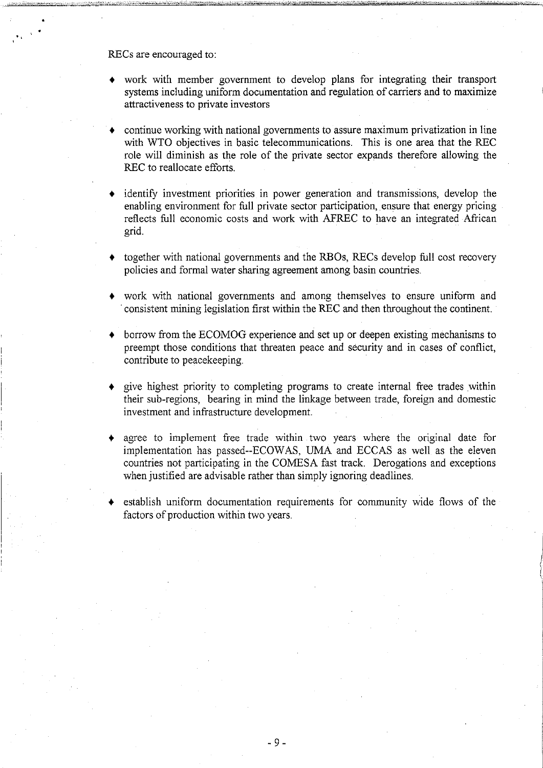RECs are encouraged to:

- work with member government to develop plans for integrating their transport systems including uniform documentation and regulation of carriers and to maximize attractiveness to private investors
- continue working with national governments to assure maximum privatization in line with WTO objectives in basic telecommunications. This is one area that the REC role will diminish as the role of the private sector expands therefore allowing the REC to reallocate efforts.
- identify investment priorities in power generation and transmissions, develop the enabling environment for full private sector participation, ensure that energy pricing reflects full economic costs and work with AFREC to have an integrated African grid.
- together with national governments and the RBOs, RECs develop full cost recovery policies and formal water sharing agreement among basin countries.
- work with national governments and among themselves to ensure uniform and consistent mining legislation first within the REC and then throughout the continent.
- borrow from the ECOMOG experience and set up or deepen existing mechanisms to preempt those conditions that threaten peace and security and in cases of conflict, contribute to peacekeeping.
- give highest priority to completing programs to create internal free trades within their sub-regions, bearing in mind the linkage between trade, foreign and domestic investment and infrastructure development.
- agree to implement free trade within two years where the original date for implementation has passed—ECOWAS, UMA and ECCAS as well as the eleven countries not participating in the COMESA fast track. Derogations and exceptions when justified are advisable rather than simply ignoring deadlines.
- establish uniform documentation requirements for community wide flows of the factors of production within two years.

9-